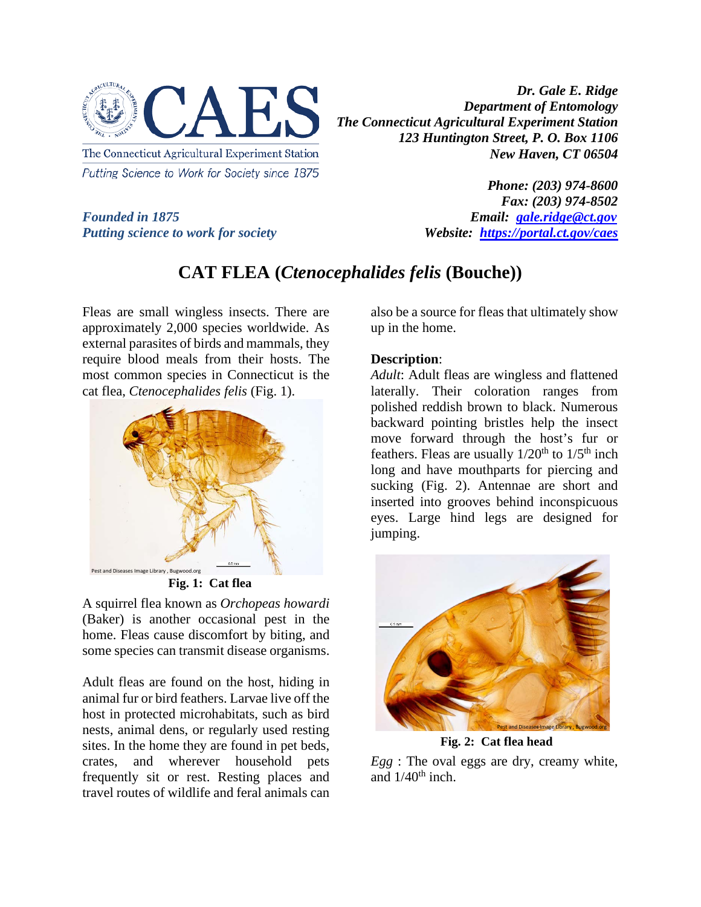

*Dr. Gale E. Ridge Department of Entomology The Connecticut Agricultural Experiment Station 123 Huntington Street, P. O. Box 1106 New Haven, CT 06504* 

*Putting science to work for society Website: <https://portal.ct.gov/caes>*

*Phone: (203) 974-8600 Fax: (203) 974-8502 Founded in 1875 Email: [gale.ridge@ct.gov](mailto:gale.ridge@ct.gov)*

## **CAT FLEA (***Ctenocephalides felis* **(Bouche))**

Fleas are small wingless insects. There are approximately 2,000 species worldwide. As external parasites of birds and mammals, they require blood meals from their hosts. The most common species in Connecticut is the cat flea, *Ctenocephalides felis* (Fig. 1).



**Fig. 1: Cat flea**

A squirrel flea known as *Orchopeas howardi* (Baker) is another occasional pest in the home. Fleas cause discomfort by biting, and some species can transmit disease organisms.

Adult fleas are found on the host, hiding in animal fur or bird feathers. Larvae live off the host in protected microhabitats, such as bird nests, animal dens, or regularly used resting sites. In the home they are found in pet beds, crates, and wherever household pets frequently sit or rest. Resting places and travel routes of wildlife and feral animals can

also be a source for fleas that ultimately show up in the home.

## **Description**:

*Adult*: Adult fleas are wingless and flattened laterally. Their coloration ranges from polished reddish brown to black. Numerous backward pointing bristles help the insect move forward through the host's fur or feathers. Fleas are usually  $1/20^{th}$  to  $1/5^{th}$  inch long and have mouthparts for piercing and sucking (Fig. 2). Antennae are short and inserted into grooves behind inconspicuous eyes. Large hind legs are designed for jumping.



**Fig. 2: Cat flea head**

*Egg* : The oval eggs are dry, creamy white, and  $1/40^{th}$  inch.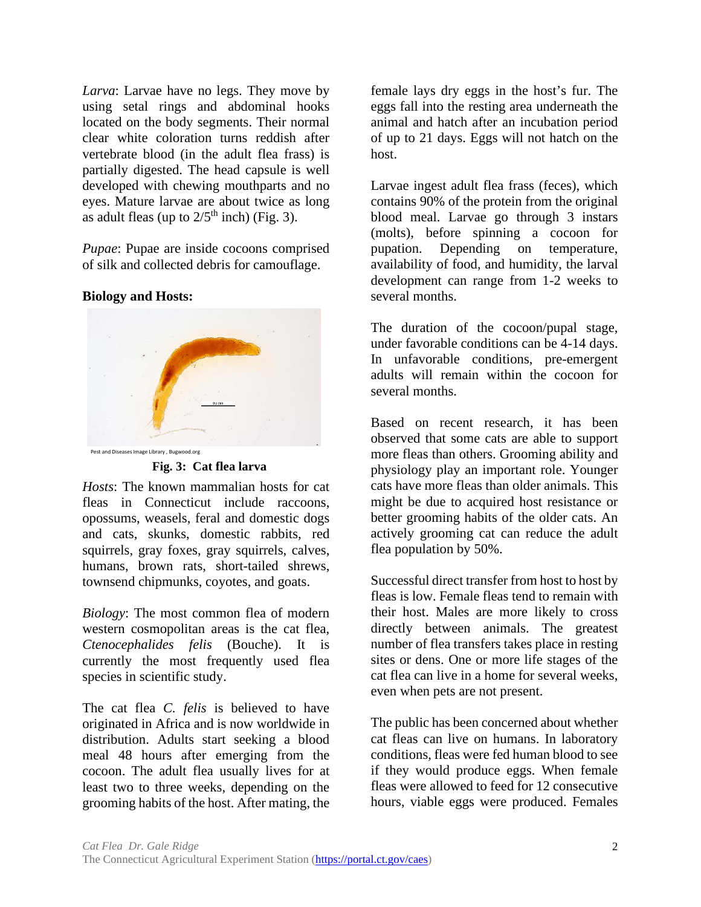*Larva*: Larvae have no legs. They move by using setal rings and abdominal hooks located on the body segments. Their normal clear white coloration turns reddish after vertebrate blood (in the adult flea frass) is partially digested. The head capsule is well developed with chewing mouthparts and no eyes. Mature larvae are about twice as long as adult fleas (up to  $2/5<sup>th</sup>$  inch) (Fig. 3).

*Pupae*: Pupae are inside cocoons comprised of silk and collected debris for camouflage.

## **Biology and Hosts:**



**Fig. 3: Cat flea larva**

*Hosts*: The known mammalian hosts for cat fleas in Connecticut include raccoons, opossums, weasels, feral and domestic dogs and cats, skunks, domestic rabbits, red squirrels, gray foxes, gray squirrels, calves, humans, brown rats, short-tailed shrews, townsend chipmunks, coyotes, and goats.

*Biology*: The most common flea of modern western cosmopolitan areas is the cat flea, *Ctenocephalides felis* (Bouche). It is currently the most frequently used flea species in scientific study.

The cat flea *C. felis* is believed to have originated in Africa and is now worldwide in distribution. Adults start seeking a blood meal 48 hours after emerging from the cocoon. The adult flea usually lives for at least two to three weeks, depending on the grooming habits of the host. After mating, the

female lays dry eggs in the host's fur. The eggs fall into the resting area underneath the animal and hatch after an incubation period of up to 21 days. Eggs will not hatch on the host.

Larvae ingest adult flea frass (feces), which contains 90% of the protein from the original blood meal. Larvae go through 3 instars (molts), before spinning a cocoon for pupation. Depending on temperature, availability of food, and humidity, the larval development can range from 1-2 weeks to several months.

The duration of the cocoon/pupal stage, under favorable conditions can be 4-14 days. In unfavorable conditions, pre-emergent adults will remain within the cocoon for several months.

Based on recent research, it has been observed that some cats are able to support more fleas than others. Grooming ability and physiology play an important role. Younger cats have more fleas than older animals. This might be due to acquired host resistance or better grooming habits of the older cats. An actively grooming cat can reduce the adult flea population by 50%.

Successful direct transfer from host to host by fleas is low. Female fleas tend to remain with their host. Males are more likely to cross directly between animals. The greatest number of flea transfers takes place in resting sites or dens. One or more life stages of the cat flea can live in a home for several weeks, even when pets are not present.

The public has been concerned about whether cat fleas can live on humans. In laboratory conditions, fleas were fed human blood to see if they would produce eggs. When female fleas were allowed to feed for 12 consecutive hours, viable eggs were produced. Females